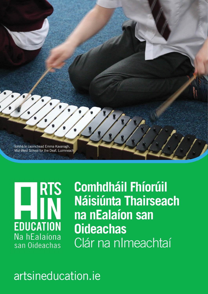

**RTS** g **EDUCATION** Na hEalaíona san Oideachas

**Comhdháil Fhíorúil Náisiúnta Thairseach na nEalaíon san Oideachas**  Clár na nImeachtaí

# artsineducation.ie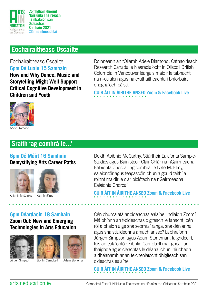

### **Eochairaitheasc Oscailte**

#### Eochairaitheasc Oscailte **6pm Dé Luain 15 Samhain**

**How and Why Dance, Music and Storytelling Might Well Support Critical Cognitive Development in Children and Youth**

Roinneann an tOllamh Adele Diamond, Cathaoirleach Research Canada le Néareolaíocht in Ollscoil British Columbia in Vancouver léargais maidir le tábhacht na n-ealaíon agus na cruthaitheachta i bhforbairt chognaíoch páistí.

**[CUIR ÁIT IN ÁIRITHE ANSEO](https://www.eventbrite.ie/e/opening-keynote-event-with-professor-adele-diamond-tickets-173755827357) Zoom & Facebook Live** 



### **Sraith 'ag comhrá le...'**

#### **6pm Dé Máirt 16 Samhain Demystifying Arts Career Paths**





Aoibhie McCarthy

Kate McElroy

#### Beidh Aoibhie McCarthy, Stiúrthóir Ealaíonta Sample-Studios agus Bainisteoir Cláir Chlár na nGairmeacha Ealaíonta Chorcaí, ag comhraí le Kate McElroy, ealaíontóir agus teagascóir, chun a gcuid taithí a roinnt maidir le clár píolótach na nGairmeacha Ealaíonta Chorcaí.

**[CUIR ÁIT IN ÁIRITHE ANSEO](https://www.eventbrite.ie/e/in-conversation-series-demystifying-arts-career-paths-tickets-172629578717) Zoom & Facebook Live** 

# **6pm Déardaoin 18 Samhain**

#### **Zoom Out: New and Emerging Technologies in Arts Education**







Jürgen Simpson Eibhlin Campbell Adam Stoneman

Cén chuma atá ar oideachas ealaíne i ndiaidh Zoom? Má bhíonn an t-oideachas digiteach le fanacht, cén ról a bheidh aige sna seomraí ranga, sna dánlanna agus sna stiúideonna amach anseo? Labhraíonn Jürgen Simpson agus Adam Stoneman, taighdeoirí, leis an ealaíontóir Eibhlin Campbell mar gheall ar thaighde agus cleachtas le déanaí chun iniúchadh a dhéanamh ar an teicneolaíocht dhigiteach san oideachas ealaíne.

**[CUIR ÁIT IN ÁIRITHE ANSEO](https://www.eventbrite.ie/e/in-conversation-series-zoom-out-new-emerging-technologies-tickets-172870559497) Zoom & Facebook Live**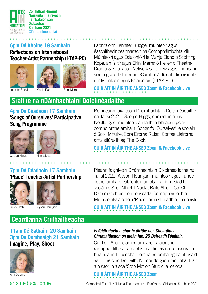

#### **6pm Dé hAoine 19 Samhain Reflections on International Teacher-Artist Partnership (I-TAP-PD)**





Labhraíonn Jennifer Buggie, múinteoir agus éascaitheoir ceannasach na Comhpháirtíochta idir Múinteoirí agus Ealaíontóirí le Manja Eland ó Stichting Kopa, an Ísiltír agus Eirini Marna ó Hellenic Theatre/ Drama & Education Network sa Ghréig agus roinneann siad a gcuid taithí ar an gComhpháirtíocht Idirnáisiúnta idir Múinteoirí agus Ealaíontóirí (I-TAP-PD).

**[CUIR ÁIT IN ÁIRITHE ANSEO](https://www.eventbrite.ie/e/reflections-on-international-teacher-artist-partnership-i-tap-pd-tickets-184948605257) Zoom & Facebook Live** 

### **Sraithe na nDámhachtainí Doiciméadaithe**

**4pm Dé Céadaoin 17 Samhain 'Songs of Ourselves' Participative Song Programme**





George Higgs

Noelle Igoe

Roinneann faighteoirí Dhámhachtain Doiciméadaithe na Tairsí 2021, George Higgs, cumadóir, agus Noelle Igoe, múinteoir, an taithí a bhí acu i gclár comhoibrithe amháin 'Songs for Ourselves' le scoláirí ó Scoil Mhuire, Cora Droma Rúisc, Contae Liatroma arna stiúradh ag The Dock.

**[CUIR ÁIT IN ÁIRITHE ANSEO](https://www.eventbrite.ie/e/documentation-award-series-songs-of-ourselves-tickets-171877328717) Zoom & Facebook Live** 

Pléann faighteoirí Dhámhachtain Doiciméadaithe na Tairsí 2021, Alyson Hourigan, múinteoir agus Tunde Tothe, amharc-ealaíontóir, an obair a rinne siad le scoláirí ó Scoil Mhichíl Naofa, Baile Átha Í, Co. Chill Dara mar chuid den tionscadal Comhpháirtíochta

MúinteoiríEalaíontóirí 'Place', arna stiúradh ag na páistí.

#### **7pm Dé Céadaoin 17 Samhain 'Place' Teacher-Artist Partnership**





Tunde Toth Alyson Hourigan

# **[CUIR ÁIT IN ÁIRITHE ANSEO](https://www.eventbrite.ie/e/documentation-award-series-place-teacher-artist-partnership-project-tickets-174076737207) Zoom & Facebook Live**

### **Ceardlanna Cruthaitheacha**

**11am Dé Sathairn 20 Samhain 3pm Dé Domhnaigh 21 Samhain Imagine, Play, Shoot**



Ana Colomer

#### **Is féidir ticéid a chur in áirithe don Cheardlann Chruthaitheach ón meán lae, 26 Deireadh Fómhair.**

Cuirfidh Ana Colomer, amharc-ealaíontóir, rannpháirtithe ar an eolas maidir leis na bunsonraí a bhaineann le beochan íomhá ar íomhá ag baint úsáid as trí theicníc faoi leith. Ní mór do gach rannpháirtí an aip saor in aisce 'Stop Motion Studio' a íoslódáil.

### **[CUIR ÁIT IN ÁIRITHE ANSEO](https://www.eventbrite.ie/e/creative-workshop-imagine-play-shoot-tickets-172773529277) Zoom**

artsineducation.ie Comhdháil Fhíorúil Náisiúnta Thairseach na nEalaíon san Oideachas Samhain 2021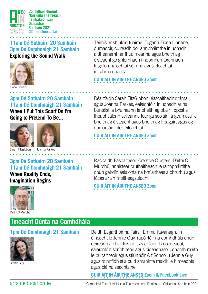

**Náisiúnta Thairseach na nEalaíon san Oideachas Samhain 2021 Clár na nImeachtaí**

#### **11am Dé Sathairn 20 Samhain 3pm Dé Domhnaigh 21 Samhain Exploring the Sound Walk**



Fiona Linnane

#### **3pm Dé Sathairn 20 Samhain 11am Dé Domhnaigh 21 Samhain When I Put This Scarf On I'm**

**Going to Pretend To Be...**





Joanna Parkes

### **3pm Dé Sathairn 20 Samhain 11am Dé Domhnaigh 21 Samhain**

**When Reality Ends, Imagination Begins**



Téimís ar shiúlóid fuaime. Tugann Fiona Linnane, cumadóir, cuireadh do rannpháirtithe iniúchadh a dhéanamh ar fhuaimeanna agus bheith ag éisteacht go gníomhach i ndomhan torannach le gníomhaíochtaí séimhe agus cleachtaí idirghníomhacha.

### **[CUIR ÁIT IN ÁIRITHE ANSEO](https://www.eventbrite.ie/e/creative-workshop-exploring-the-sound-walk-tickets-172841181627) Zoom**

Déanfaidh Sarah FitzGibbon, éascaitheoir dráma, agus Joanna Parkes, ealaíontóir, iniúchadh ar na buntáistí a bhaineann le bheith ag obair i bpost a fheabhsaíonn scileanna teanga scoláirí, á gcumasú le bheith ag éisteacht agus bheith ag freagairt agus ag cumarsáid níos éifeachtaí.

### **[CUIR ÁIT IN ÁIRITHE ANSEO](https://www.eventbrite.ie/e/creative-workshop-when-i-put-this-scarf-on-im-going-to-pretend-to-be-tickets-172864802277) Zoom**

Rachaidh Éascaitheoir Creative Clusters, Daithí Ó Murchú, ar aistear cruthaitheach le rannpháirtithe chun gairdín ealaíonta na bhflaitheas a chruthú agus fócas ar an mbithéagsúlacht.

**[CUIR ÁIT IN ÁIRITHE ANSEO](https://www.eventbrite.ie/e/creative-workshop-when-reality-ends-imagination-begins-tickets-172810750607) Zoom** 

## **Imeacht Dúnta na Comhdhála**

### **1pm Dé Domhnaigh 21 Samhain**



Jennie Guy

Beidh Eagarthóir na Tairsí, Emma Kavanagh, in éineacht le Jennie Guy, rapóirtéir na comhdhála chun deireadh a chur leis an tseachtain. Is coimeádaí, ealaíontóir, scríbhneoir agus oideachasóir, chomh maith le bunaitheoir agus stiúrthóir Art School, í Jennie Guy, agus roinnfidh sí a cuid smaointe maidir le himeachtaí agus plé na seachtaine.

**[CUIR ÁIT IN ÁIRITHE ANSEO](https://www.eventbrite.ie/e/conference-closing-event-tickets-174088652847) Zoom & Facebook Live** 

artsineducation.ie Comhdháil Fhíorúil Náisiúnta Thairseach na nEalaíon san Oideachas Samhain 2021